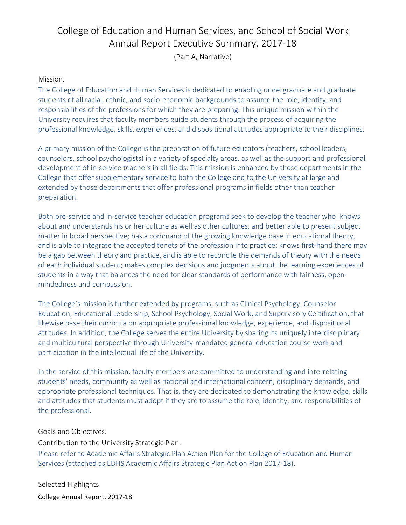# College of Education and Human Services, and School of Social Work Annual Report Executive Summary, 2017‐18

(Part A, Narrative)

#### Mission.

The College of Education and Human Services is dedicated to enabling undergraduate and graduate students of all racial, ethnic, and socio‐economic backgrounds to assume the role, identity, and responsibilities of the professions for which they are preparing. This unique mission within the University requires that faculty members guide students through the process of acquiring the professional knowledge, skills, experiences, and dispositional attitudes appropriate to their disciplines.

A primary mission of the College is the preparation of future educators (teachers, school leaders, counselors, school psychologists) in a variety of specialty areas, as well as the support and professional development of in‐service teachers in all fields. This mission is enhanced by those departments in the College that offer supplementary service to both the College and to the University at large and extended by those departments that offer professional programs in fields other than teacher preparation.

Both pre‐service and in‐service teacher education programs seek to develop the teacher who: knows about and understands his or her culture as well as other cultures, and better able to present subject matter in broad perspective; has a command of the growing knowledge base in educational theory, and is able to integrate the accepted tenets of the profession into practice; knows first-hand there may be a gap between theory and practice, and is able to reconcile the demands of theory with the needs of each individual student; makes complex decisions and judgments about the learning experiences of students in a way that balances the need for clear standards of performance with fairness, open‐ mindedness and compassion.

The College's mission is further extended by programs, such as Clinical Psychology, Counselor Education, Educational Leadership, School Psychology, Social Work, and Supervisory Certification, that likewise base their curricula on appropriate professional knowledge, experience, and dispositional attitudes. In addition, the College serves the entire University by sharing its uniquely interdisciplinary and multicultural perspective through University‐mandated general education course work and participation in the intellectual life of the University.

In the service of this mission, faculty members are committed to understanding and interrelating students' needs, community as well as national and international concern, disciplinary demands, and appropriate professional techniques. That is, they are dedicated to demonstrating the knowledge, skills and attitudes that students must adopt if they are to assume the role, identity, and responsibilities of the professional.

#### Goals and Objectives.

Contribution to the University Strategic Plan.

Please refer to Academic Affairs Strategic Plan Action Plan for the College of Education and Human Services (attached as EDHS Academic Affairs Strategic Plan Action Plan 2017‐18).

College Annual Report, 2017‐18 Selected Highlights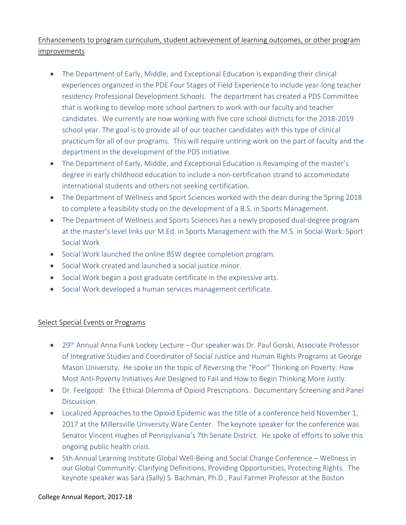## Enhancements to program curriculum, student achievement of learning outcomes, or other program improvements

- The Department of Early, Middle, and Exceptional Education is expanding their clinical experiences organized in the PDE Four Stages of Field Experience to include year-long teacher residency Professional Development Schools. The department has created a PDS Committee that is working to develop more school partners to work with our faculty and teacher candidates. We currently are now working with five core school districts for the 2018‐2019 school year. The goal is to provide all of our teacher candidates with this type of clinical practicum for all of our programs. This will require untiring work on the part of faculty and the department in the development of the PDS initiative.
- The Department of Early, Middle, and Exceptional Education is Revamping of the master's degree in early childhood education to include a non‐certification strand to accommodate international students and others not seeking certification.
- The Department of Wellness and Sport Sciences worked with the dean during the Spring 2018 to complete a feasibility study on the development of a B.S. in Sports Management.
- The Department of Wellness and Sports Sciences has a newly proposed dual-degree program at the master's level links our M.Ed. in Sports Management with the M.S. in Social Work: Sport Social Work
- Social Work launched the online BSW degree completion program.
- Social Work created and launched a social justice minor.
- Social Work began a post graduate certificate in the expressive arts.
- Social Work developed a human services management certificate.

## Select Special Events or Programs

- 29<sup>th</sup> Annual Anna Funk Lockey Lecture Our speaker was Dr. Paul Gorski, Associate Professor of Integrative Studies and Coordinator of Social Justice and Human Rights Programs at George Mason University. He spoke on the topic of Reversing the "Poor" Thinking on Poverty: How Most Anti‐Poverty Initiatives Are Designed to Fail and How to Begin Thinking More Justly.
- Dr. Feelgood: The Ethical Dilemma of Opioid Prescriptions. Documentary Screening and Panel Discussion.
- Localized Approaches to the Opioid Epidemic was the title of a conference held November 1, 2017 at the Millersville University Ware Center. The keynote speaker for the conference was Senator Vincent Hughes of Pennsylvania's 7th Senate District. He spoke of efforts to solve this ongoing public health crisis.
- 5th Annual Learning Institute Global Well-Being and Social Change Conference Wellness in our Global Community: Clarifying Definitions, Providing Opportunities, Protecting Rights. The keynote speaker was Sara (Sally) S. Bachman, Ph.D., Paul Farmer Professor at the Boston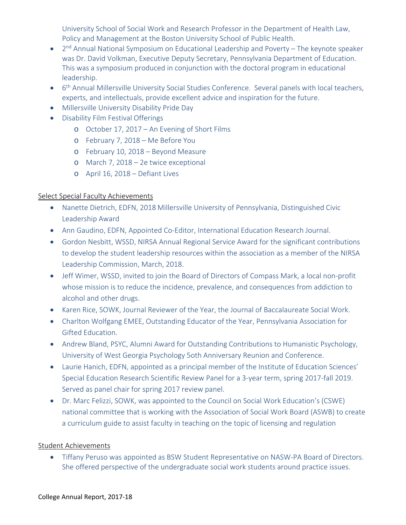University School of Social Work and Research Professor in the Department of Health Law, Policy and Management at the Boston University School of Public Health.

- 2<sup>nd</sup> Annual National Symposium on Educational Leadership and Poverty The keynote speaker was Dr. David Volkman, Executive Deputy Secretary, Pennsylvania Department of Education. This was a symposium produced in conjunction with the doctoral program in educational leadership.
- <sup>o</sup> 6<sup>th</sup> Annual Millersville University Social Studies Conference. Several panels with local teachers, experts, and intellectuals, provide excellent advice and inspiration for the future.
- Millersville University Disability Pride Day
- Disability Film Festival Offerings
	- o October 17, 2017 An Evening of Short Films
	- o February 7, 2018 Me Before You
	- o February 10, 2018 Beyond Measure
	- o March 7, 2018 2e twice exceptional
	- o April 16, 2018 Defiant Lives

## Select Special Faculty Achievements

- Nanette Dietrich, EDFN, 2018 Millersville University of Pennsylvania, Distinguished Civic Leadership Award
- Ann Gaudino, EDFN, Appointed Co-Editor, International Education Research Journal.
- Gordon Nesbitt, WSSD, NIRSA Annual Regional Service Award for the significant contributions to develop the student leadership resources within the association as a member of the NIRSA Leadership Commission, March, 2018.
- Jeff Wimer, WSSD, invited to join the Board of Directors of Compass Mark, a local non-profit whose mission is to reduce the incidence, prevalence, and consequences from addiction to alcohol and other drugs.
- Karen Rice, SOWK, Journal Reviewer of the Year, the Journal of Baccalaureate Social Work.
- Charlton Wolfgang EMEE, Outstanding Educator of the Year, Pennsylvania Association for Gifted Education.
- Andrew Bland, PSYC, Alumni Award for Outstanding Contributions to Humanistic Psychology, University of West Georgia Psychology 5oth Anniversary Reunion and Conference.
- Laurie Hanich, EDFN, appointed as a principal member of the Institute of Education Sciences' Special Education Research Scientific Review Panel for a 3‐year term, spring 2017‐fall 2019. Served as panel chair for spring 2017 review panel.
- Dr. Marc Felizzi, SOWK, was appointed to the Council on Social Work Education's (CSWE) national committee that is working with the Association of Social Work Board (ASWB) to create a curriculum guide to assist faculty in teaching on the topic of licensing and regulation

## Student Achievements

● Tiffany Peruso was appointed as BSW Student Representative on NASW-PA Board of Directors. She offered perspective of the undergraduate social work students around practice issues.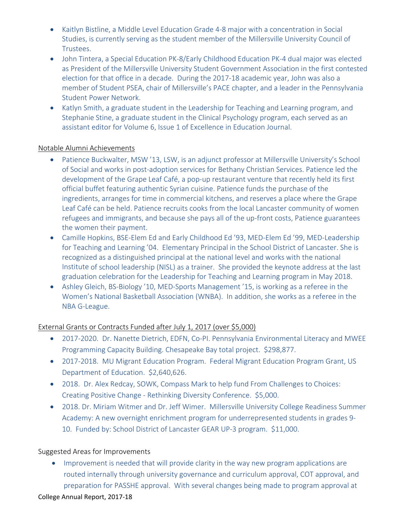- Kaitlyn Bistline, a Middle Level Education Grade 4-8 major with a concentration in Social Studies, is currently serving as the student member of the Millersville University Council of Trustees.
- John Tintera, a Special Education PK-8/Early Childhood Education PK-4 dual major was elected as President of the Millersville University Student Government Association in the first contested election for that office in a decade. During the 2017‐18 academic year, John was also a member of Student PSEA, chair of Millersville's PACE chapter, and a leader in the Pennsylvania Student Power Network.
- Katlyn Smith, a graduate student in the Leadership for Teaching and Learning program, and Stephanie Stine, a graduate student in the Clinical Psychology program, each served as an assistant editor for Volume 6, Issue 1 of Excellence in Education Journal.

#### Notable Alumni Achievements

- Patience Buckwalter, MSW '13, LSW, is an adjunct professor at Millersville University's School of Social and works in post‐adoption services for Bethany Christian Services. Patience led the development of the Grape Leaf Café, a pop-up restaurant venture that recently held its first official buffet featuring authentic Syrian cuisine. Patience funds the purchase of the ingredients, arranges for time in commercial kitchens, and reserves a place where the Grape Leaf Café can be held. Patience recruits cooks from the local Lancaster community of women refugees and immigrants, and because she pays all of the up-front costs, Patience guarantees the women their payment.
- Camille Hopkins, BSE‐Elem Ed and Early Childhood Ed '93, MED‐Elem Ed '99, MED‐Leadership for Teaching and Learning '04. Elementary Principal in the School District of Lancaster. She is recognized as a distinguished principal at the national level and works with the national Institute of school leadership (NISL) as a trainer. She provided the keynote address at the last graduation celebration for the Leadership for Teaching and Learning program in May 2018.
- Ashley Gleich, BS‐Biology '10, MED‐Sports Management '15, is working as a referee in the Women's National Basketball Association (WNBA). In addition, she works as a referee in the NBA G‐League.

## External Grants or Contracts Funded after July 1, 2017 (over \$5,000)

- 2017-2020. Dr. Nanette Dietrich, EDFN, Co-PI. Pennsylvania Environmental Literacy and MWEE Programming Capacity Building. Chesapeake Bay total project. \$298,877.
- 2017-2018. MU Migrant Education Program. Federal Migrant Education Program Grant, US Department of Education. \$2,640,626.
- 2018. Dr. Alex Redcay, SOWK, Compass Mark to help fund From Challenges to Choices: Creating Positive Change ‐ Rethinking Diversity Conference. \$5,000.
- 2018. Dr. Miriam Witmer and Dr. Jeff Wimer. Millersville University College Readiness Summer Academy: A new overnight enrichment program for underrepresented students in grades 9‐ 10. Funded by: School District of Lancaster GEAR UP-3 program. \$11,000.

#### Suggested Areas for Improvements

• Improvement is needed that will provide clarity in the way new program applications are routed internally through university governance and curriculum approval, COT approval, and preparation for PASSHE approval. With several changes being made to program approval at